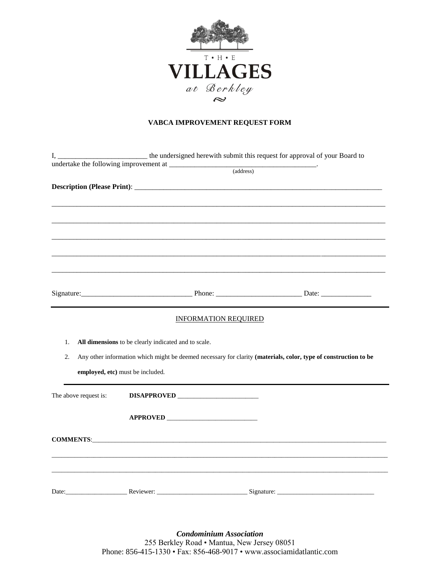

## **VABCA IMPROVEMENT REQUEST FORM**

| I.                    |                                                                                                                                                                                                                                     |                             | the undersigned herewith submit this request for approval of your Board to                                      |
|-----------------------|-------------------------------------------------------------------------------------------------------------------------------------------------------------------------------------------------------------------------------------|-----------------------------|-----------------------------------------------------------------------------------------------------------------|
|                       |                                                                                                                                                                                                                                     | (address)                   |                                                                                                                 |
|                       |                                                                                                                                                                                                                                     |                             |                                                                                                                 |
|                       |                                                                                                                                                                                                                                     |                             |                                                                                                                 |
|                       |                                                                                                                                                                                                                                     |                             |                                                                                                                 |
|                       |                                                                                                                                                                                                                                     |                             |                                                                                                                 |
|                       |                                                                                                                                                                                                                                     |                             |                                                                                                                 |
|                       |                                                                                                                                                                                                                                     |                             |                                                                                                                 |
|                       |                                                                                                                                                                                                                                     |                             |                                                                                                                 |
|                       |                                                                                                                                                                                                                                     |                             |                                                                                                                 |
|                       |                                                                                                                                                                                                                                     |                             |                                                                                                                 |
|                       |                                                                                                                                                                                                                                     |                             |                                                                                                                 |
|                       |                                                                                                                                                                                                                                     |                             |                                                                                                                 |
|                       |                                                                                                                                                                                                                                     |                             |                                                                                                                 |
|                       |                                                                                                                                                                                                                                     |                             |                                                                                                                 |
|                       |                                                                                                                                                                                                                                     | <b>INFORMATION REQUIRED</b> |                                                                                                                 |
|                       |                                                                                                                                                                                                                                     |                             |                                                                                                                 |
| 1.                    | All dimensions to be clearly indicated and to scale.                                                                                                                                                                                |                             |                                                                                                                 |
| 2.                    |                                                                                                                                                                                                                                     |                             | Any other information which might be deemed necessary for clarity (materials, color, type of construction to be |
|                       | employed, etc) must be included.                                                                                                                                                                                                    |                             |                                                                                                                 |
|                       |                                                                                                                                                                                                                                     |                             |                                                                                                                 |
| The above request is: |                                                                                                                                                                                                                                     |                             |                                                                                                                 |
|                       |                                                                                                                                                                                                                                     |                             |                                                                                                                 |
|                       |                                                                                                                                                                                                                                     |                             |                                                                                                                 |
|                       |                                                                                                                                                                                                                                     |                             |                                                                                                                 |
|                       | <b>COMMENTS:</b> The community of the community of the community of the community of the community of the community of the community of the community of the community of the community of the community of the community of the co |                             |                                                                                                                 |
|                       |                                                                                                                                                                                                                                     |                             |                                                                                                                 |
|                       |                                                                                                                                                                                                                                     |                             |                                                                                                                 |
|                       |                                                                                                                                                                                                                                     |                             |                                                                                                                 |
|                       |                                                                                                                                                                                                                                     |                             |                                                                                                                 |
|                       |                                                                                                                                                                                                                                     |                             |                                                                                                                 |
|                       |                                                                                                                                                                                                                                     |                             |                                                                                                                 |
|                       |                                                                                                                                                                                                                                     |                             |                                                                                                                 |

*Condominium Association* 255 Berkley Road • Mantua, New Jersey 08051 Phone: 856-415-1330 • Fax: 856-468-9017 • www.associamidatlantic.com